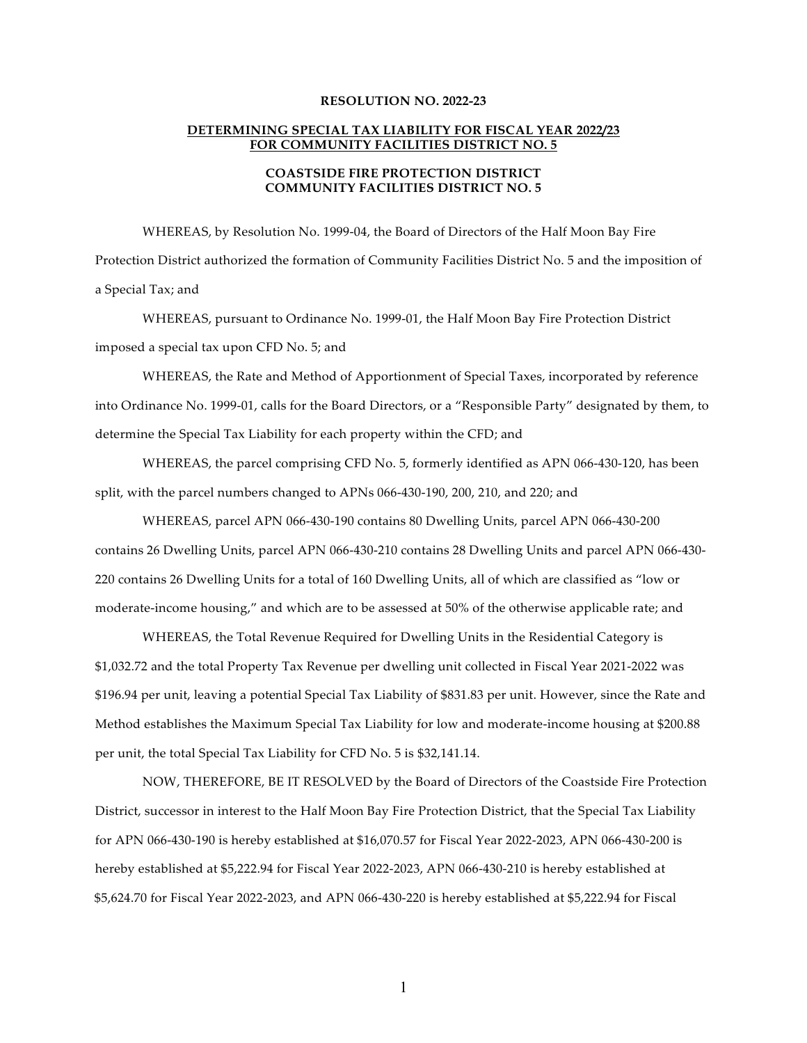## **RESOLUTION NO. 2022-23**

## **DETERMINING SPECIAL TAX LIABILITY FOR FISCAL YEAR 2022/23 FOR COMMUNITY FACILITIES DISTRICT NO. 5**

## **COASTSIDE FIRE PROTECTION DISTRICT COMMUNITY FACILITIES DISTRICT NO. 5**

WHEREAS, by Resolution No. 1999-04, the Board of Directors of the Half Moon Bay Fire Protection District authorized the formation of Community Facilities District No. 5 and the imposition of a Special Tax; and

WHEREAS, pursuant to Ordinance No. 1999-01, the Half Moon Bay Fire Protection District imposed a special tax upon CFD No. 5; and

WHEREAS, the Rate and Method of Apportionment of Special Taxes, incorporated by reference into Ordinance No. 1999-01, calls for the Board Directors, or a "Responsible Party" designated by them, to determine the Special Tax Liability for each property within the CFD; and

WHEREAS, the parcel comprising CFD No. 5, formerly identified as APN 066-430-120, has been split, with the parcel numbers changed to APNs 066-430-190, 200, 210, and 220; and

WHEREAS, parcel APN 066-430-190 contains 80 Dwelling Units, parcel APN 066-430-200 contains 26 Dwelling Units, parcel APN 066-430-210 contains 28 Dwelling Units and parcel APN 066-430- 220 contains 26 Dwelling Units for a total of 160 Dwelling Units, all of which are classified as "low or moderate-income housing," and which are to be assessed at 50% of the otherwise applicable rate; and

WHEREAS, the Total Revenue Required for Dwelling Units in the Residential Category is \$1,032.72 and the total Property Tax Revenue per dwelling unit collected in Fiscal Year 2021-2022 was \$196.94 per unit, leaving a potential Special Tax Liability of \$831.83 per unit. However, since the Rate and Method establishes the Maximum Special Tax Liability for low and moderate-income housing at \$200.88 per unit, the total Special Tax Liability for CFD No. 5 is \$32,141.14.

NOW, THEREFORE, BE IT RESOLVED by the Board of Directors of the Coastside Fire Protection District, successor in interest to the Half Moon Bay Fire Protection District, that the Special Tax Liability for APN 066-430-190 is hereby established at \$16,070.57 for Fiscal Year 2022-2023, APN 066-430-200 is hereby established at \$5,222.94 for Fiscal Year 2022-2023, APN 066-430-210 is hereby established at \$5,624.70 for Fiscal Year 2022-2023, and APN 066-430-220 is hereby established at \$5,222.94 for Fiscal

1